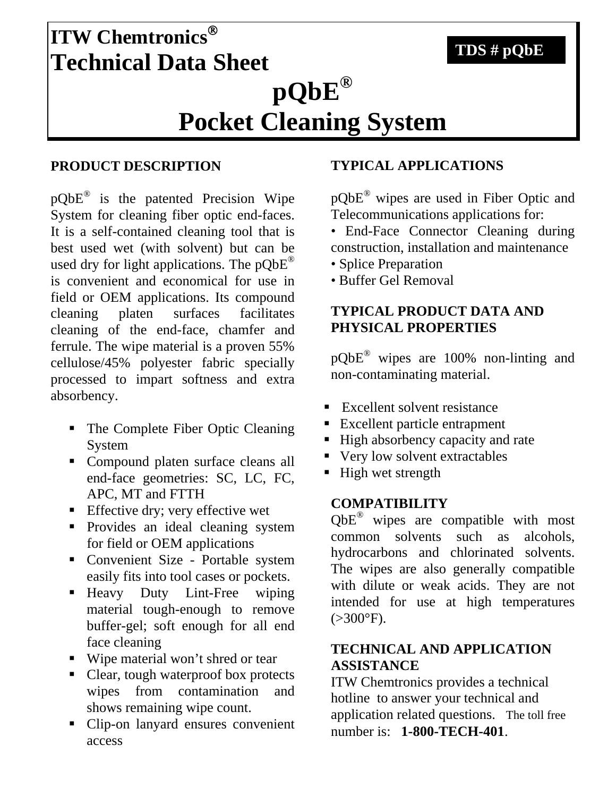# **ITW Chemtronics**® **Technical Data Sheet pQbE® Pocket Cleaning System TDS # pQbE**

## **PRODUCT DESCRIPTION**

pQbE® is the patented Precision Wipe System for cleaning fiber optic end-faces. It is a self-contained cleaning tool that is best used wet (with solvent) but can be used dry for light applications. The pQbE® is convenient and economical for use in field or OEM applications. Its compound cleaning platen surfaces facilitates cleaning of the end-face, chamfer and ferrule. The wipe material is a proven 55% cellulose/45% polyester fabric specially processed to impart softness and extra absorbency.

- The Complete Fiber Optic Cleaning System
- Compound platen surface cleans all end-face geometries: SC, LC, FC, APC, MT and FTTH
- **Effective dry; very effective wet**
- Provides an ideal cleaning system for field or OEM applications
- Convenient Size Portable system easily fits into tool cases or pockets.
- Heavy Duty Lint-Free wiping material tough-enough to remove buffer-gel; soft enough for all end face cleaning
- Wipe material won't shred or tear
- Clear, tough waterproof box protects wipes from contamination and shows remaining wipe count.
- Clip-on lanyard ensures convenient access

## **TYPICAL APPLICATIONS**

pQbE® wipes are used in Fiber Optic and Telecommunications applications for:

• End-Face Connector Cleaning during construction, installation and maintenance

- Splice Preparation
- Buffer Gel Removal

## **TYPICAL PRODUCT DATA AND PHYSICAL PROPERTIES**

pQbE® wipes are 100% non-linting and non-contaminating material.

- Excellent solvent resistance
- **Excellent particle entrapment**
- High absorbency capacity and rate
- Very low solvent extractables
- $\blacksquare$  High wet strength

#### **COMPATIBILITY**

QbE® wipes are compatible with most common solvents such as alcohols, hydrocarbons and chlorinated solvents. The wipes are also generally compatible with dilute or weak acids. They are not intended for use at high temperatures  $(>300^{\circ}F).$ 

## **TECHNICAL AND APPLICATION ASSISTANCE**

ITW Chemtronics provides a technical hotline to answer your technical and application related questions. The toll free number is: **1-800-TECH-401**.